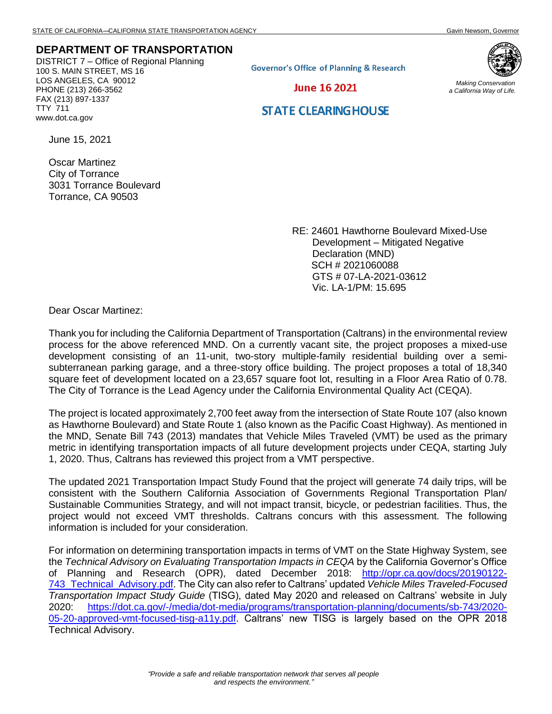## **DEPARTMENT OF TRANSPORTATION**

DISTRICT 7 – Office of Regional Planning 100 S. MAIN STREET, MS 16 LOS ANGELES, CA 90012 PHONE (213) 266-3562 FAX (213) 897-1337 TTY 711 www.dot.ca.gov

**Governor's Office of Planning & Research** 



*Making Conservation a California Way of Life.*

## **STATE CLEARING HOUSE**

June 16 2021

June 15, 2021

Oscar Martinez City of Torrance 3031 Torrance Boulevard Torrance, CA 90503

> RE: 24601 Hawthorne Boulevard Mixed-Use Development – Mitigated Negative Declaration (MND) SCH # 2021060088 GTS # 07-LA-2021-03612 Vic. LA-1/PM: 15.695

Dear Oscar Martinez:

Thank you for including the California Department of Transportation (Caltrans) in the environmental review process for the above referenced MND. On a currently vacant site, the project proposes a mixed-use development consisting of an 11-unit, two-story multiple-family residential building over a semisubterranean parking garage, and a three-story office building. The project proposes a total of 18,340 square feet of development located on a 23,657 square foot lot, resulting in a Floor Area Ratio of 0.78. The City of Torrance is the Lead Agency under the California Environmental Quality Act (CEQA).

The project is located approximately 2,700 feet away from the intersection of State Route 107 (also known as Hawthorne Boulevard) and State Route 1 (also known as the Pacific Coast Highway). As mentioned in the MND, Senate Bill 743 (2013) mandates that Vehicle Miles Traveled (VMT) be used as the primary metric in identifying transportation impacts of all future development projects under CEQA, starting July 1, 2020. Thus, Caltrans has reviewed this project from a VMT perspective.

The updated 2021 Transportation Impact Study Found that the project will generate 74 daily trips, will be consistent with the Southern California Association of Governments Regional Transportation Plan/ Sustainable Communities Strategy, and will not impact transit, bicycle, or pedestrian facilities. Thus, the project would not exceed VMT thresholds. Caltrans concurs with this assessment. The following information is included for your consideration.

For information on determining transportation impacts in terms of VMT on the State Highway System, see the *Technical Advisory on Evaluating Transportation Impacts in CEQA* by the California Governor's Office of Planning and Research (OPR), dated December 2018: [http://opr.ca.gov/docs/20190122-](http://opr.ca.gov/docs/20190122-743_Technical_Advisory.pdf) [743\\_Technical\\_Advisory.pdf.](http://opr.ca.gov/docs/20190122-743_Technical_Advisory.pdf) The City can also refer to Caltrans' updated *Vehicle Miles Traveled-Focused Transportation Impact Study Guide* (TISG), dated May 2020 and released on Caltrans' website in July 2020: [https://dot.ca.gov/-/media/dot-media/programs/transportation-planning/documents/sb-743/2020-](https://dot.ca.gov/-/media/dot-media/programs/transportation-planning/documents/sb-743/2020-05-20-approved-vmt-focused-tisg-a11y.pdf) [05-20-approved-vmt-focused-tisg-a11y.pdf.](https://dot.ca.gov/-/media/dot-media/programs/transportation-planning/documents/sb-743/2020-05-20-approved-vmt-focused-tisg-a11y.pdf) Caltrans' new TISG is largely based on the OPR 2018 Technical Advisory.